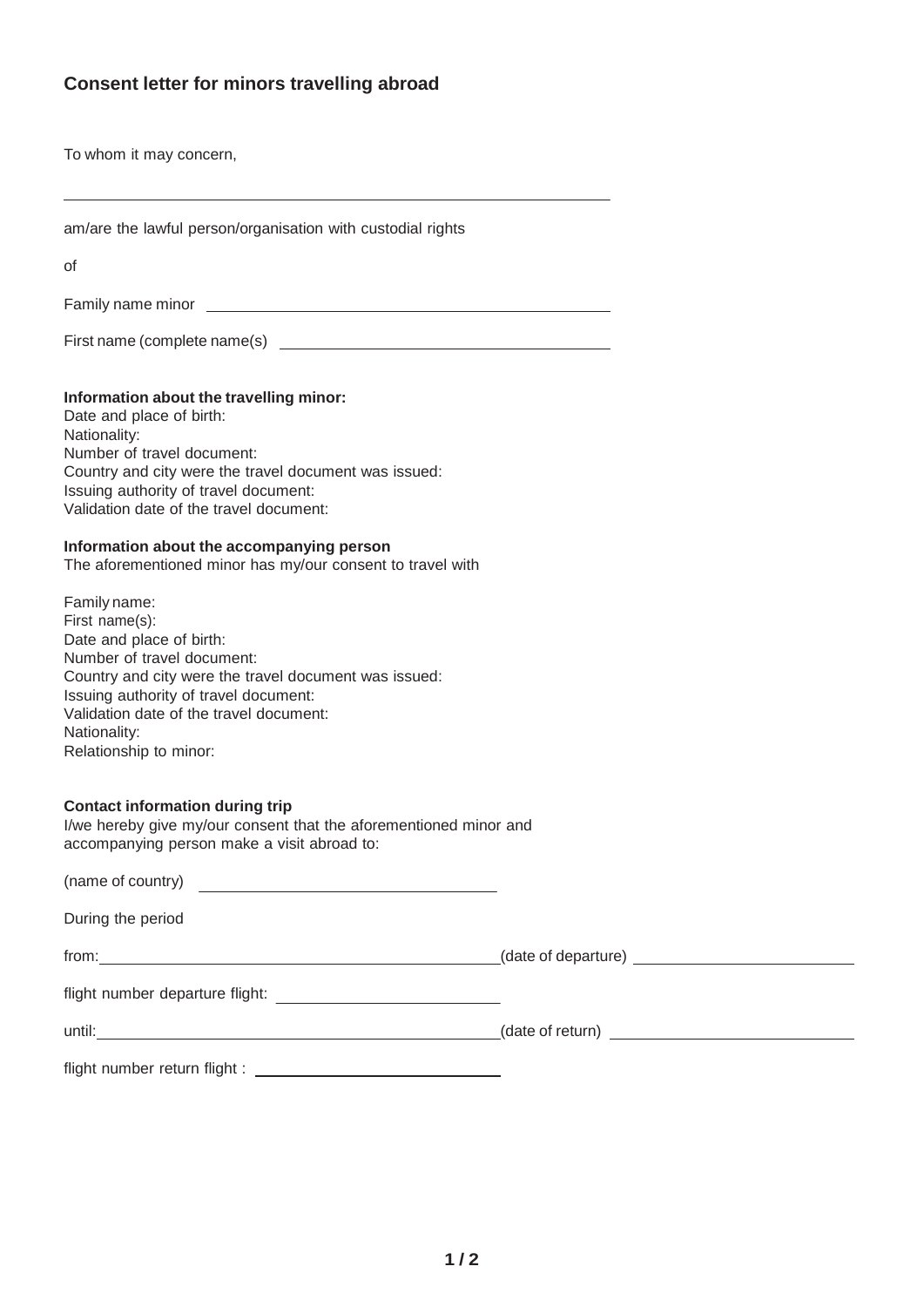# **Consent letter for minors travelling abroad**

To whom it may concern,

|  | am/are the lawful person/organisation with custodial rights |  |  |
|--|-------------------------------------------------------------|--|--|
|  |                                                             |  |  |

of

Family name minor

First name (complete name(s)

#### **Information about the travelling minor:**

Date and place of birth: Nationality: Number of travel document: Country and city were the travel document was issued: Issuing authority of travel document: Validation date of the travel document:

#### **Information about the accompanying person**

The aforementioned minor has my/our consent to travel with

| Family name:                                          |
|-------------------------------------------------------|
| First name(s):                                        |
| Date and place of birth:                              |
| Number of travel document:                            |
| Country and city were the travel document was issued: |
| Issuing authority of travel document:                 |
| Validation date of the travel document:               |
| Nationality:                                          |
| Relationship to minor:                                |
|                                                       |

#### **Contact information during trip**

I/we hereby give my/our consent that the aforementioned minor and accompanying person make a visit abroad to:

| (name of country)                                                                                                       |                                        |  |
|-------------------------------------------------------------------------------------------------------------------------|----------------------------------------|--|
| During the period                                                                                                       |                                        |  |
|                                                                                                                         |                                        |  |
| flight number departure flight:<br><u> and the manufacture of the manufacture of the manufacture of the manufacture</u> |                                        |  |
|                                                                                                                         | $\sqrt{a}$ (date of return) $\sqrt{a}$ |  |
|                                                                                                                         |                                        |  |